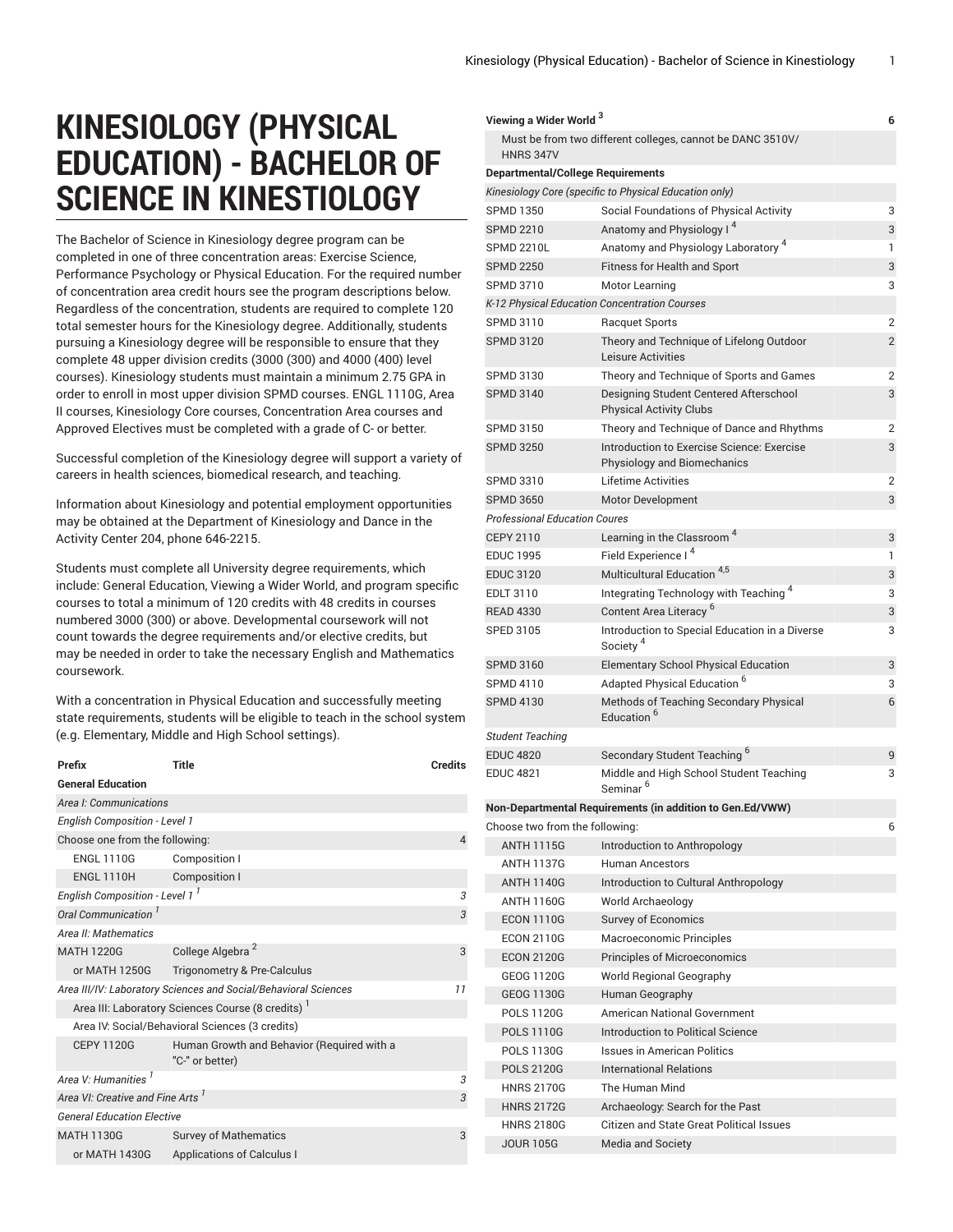## **KINESIOLOGY (PHYSICAL EDUCATION) - BACHELOR OF SCIENCE IN KINESTIOLOGY**

The Bachelor of Science in Kinesiology degree program can be completed in one of three concentration areas: Exercise Science, Performance Psychology or Physical Education. For the required number of concentration area credit hours see the program descriptions below. Regardless of the concentration, students are required to complete 120 total semester hours for the Kinesiology degree. Additionally, students pursuing a Kinesiology degree will be responsible to ensure that they complete 48 upper division credits (3000 (300) and 4000 (400) level courses). Kinesiology students must maintain a minimum 2.75 GPA in order to enroll in most upper division SPMD courses. ENGL 1110G, Area II courses, Kinesiology Core courses, Concentration Area courses and Approved Electives must be completed with a grade of C- or better.

Successful completion of the Kinesiology degree will support a variety of careers in health sciences, biomedical research, and teaching.

Information about Kinesiology and potential employment opportunities may be obtained at the Department of Kinesiology and Dance in the Activity Center 204, phone 646-2215.

Students must complete all University degree requirements, which include: General Education, Viewing a Wider World, and program specific courses to total a minimum of 120 credits with 48 credits in courses numbered 3000 (300) or above. Developmental coursework will not count towards the degree requirements and/or elective credits, but may be needed in order to take the necessary English and Mathematics coursework.

With a concentration in Physical Education and successfully meeting state requirements, students will be eligible to teach in the school system (e.g. Elementary, Middle and High School settings).

| Prefix                                                          | <b>Title</b>                                                  | <b>Credits</b> |  |
|-----------------------------------------------------------------|---------------------------------------------------------------|----------------|--|
| <b>General Education</b>                                        |                                                               |                |  |
| Area I: Communications                                          |                                                               |                |  |
| <b>English Composition - Level 1</b>                            |                                                               |                |  |
| Choose one from the following:                                  |                                                               |                |  |
| <b>ENGL 1110G</b>                                               | Composition I                                                 |                |  |
| <b>ENGL 1110H</b>                                               | Composition I                                                 |                |  |
| English Composition - Level 1 <sup>1</sup>                      |                                                               |                |  |
| Oral Communication <sup>1</sup>                                 |                                                               | 3              |  |
| Area II: Mathematics                                            |                                                               |                |  |
| <b>MATH 1220G</b>                                               | College Algebra <sup>2</sup>                                  | 3              |  |
| or MATH 1250G                                                   | Trigonometry & Pre-Calculus                                   |                |  |
| Area III/IV: Laboratory Sciences and Social/Behavioral Sciences |                                                               |                |  |
| Area III: Laboratory Sciences Course (8 credits)                |                                                               |                |  |
| Area IV: Social/Behavioral Sciences (3 credits)                 |                                                               |                |  |
| <b>CEPY 1120G</b>                                               | Human Growth and Behavior (Required with a<br>"C-" or better) |                |  |
| Area V: Humanities                                              |                                                               | 3              |  |
| Area VI: Creative and Fine Arts <sup>1</sup>                    |                                                               |                |  |
| <b>General Education Elective</b>                               |                                                               |                |  |
| <b>MATH 1130G</b>                                               | <b>Survey of Mathematics</b>                                  | 3              |  |
| or MATH 1430G                                                   | <b>Applications of Calculus I</b>                             |                |  |

| Viewing a Wider World <sup>3</sup><br>6  |                                                                           |                |
|------------------------------------------|---------------------------------------------------------------------------|----------------|
| <b>HNRS 347V</b>                         | Must be from two different colleges, cannot be DANC 3510V/                |                |
| <b>Departmental/College Requirements</b> |                                                                           |                |
|                                          | Kinesiology Core (specific to Physical Education only)                    |                |
| <b>SPMD 1350</b>                         | Social Foundations of Physical Activity                                   | 3              |
| <b>SPMD 2210</b>                         | Anatomy and Physiology I <sup>4</sup>                                     | 3              |
| <b>SPMD 2210L</b>                        | Anatomy and Physiology Laboratory <sup>4</sup>                            | 1              |
| <b>SPMD 2250</b>                         | <b>Fitness for Health and Sport</b>                                       | 3              |
| <b>SPMD 3710</b>                         | Motor Learning                                                            | 3              |
|                                          | K-12 Physical Education Concentration Courses                             |                |
| SPMD 3110                                | <b>Racquet Sports</b>                                                     | 2              |
| <b>SPMD 3120</b>                         | Theory and Technique of Lifelong Outdoor<br>Leisure Activities            | $\overline{2}$ |
| SPMD 3130                                | Theory and Technique of Sports and Games                                  | 2              |
| <b>SPMD 3140</b>                         | Designing Student Centered Afterschool<br><b>Physical Activity Clubs</b>  | 3              |
| SPMD 3150                                | Theory and Technique of Dance and Rhythms                                 | 2              |
| <b>SPMD 3250</b>                         | Introduction to Exercise Science: Exercise<br>Physiology and Biomechanics | 3              |
| SPMD 3310                                | <b>Lifetime Activities</b>                                                | 2              |
| <b>SPMD 3650</b>                         | Motor Development                                                         | 3              |
| <b>Professional Education Coures</b>     |                                                                           |                |
| <b>CEPY 2110</b>                         | Learning in the Classroom <sup>4</sup>                                    | 3              |
| <b>EDUC 1995</b>                         | Field Experience I <sup>4</sup>                                           | 1              |
| <b>EDUC 3120</b>                         | Multicultural Education <sup>4,5</sup>                                    | 3              |
| EDLT 3110                                | Integrating Technology with Teaching <sup>4</sup>                         | 3              |
| <b>READ 4330</b>                         | Content Area Literacy <sup>6</sup>                                        | 3              |
| SPED 3105                                | Introduction to Special Education in a Diverse<br>Society <sup>4</sup>    | 3              |
| <b>SPMD 3160</b>                         | <b>Elementary School Physical Education</b>                               | 3              |
| <b>SPMD 4110</b>                         | Adapted Physical Education <sup>6</sup>                                   | 3              |
| <b>SPMD 4130</b>                         | Methods of Teaching Secondary Physical<br>Education <sup>b</sup>          | 6              |
| <b>Student Teaching</b>                  |                                                                           |                |
| <b>EDUC 4820</b>                         | Secondary Student Teaching <sup>b</sup>                                   | 9              |
| <b>EDUC 4821</b>                         | Middle and High School Student Teaching<br>Seminar <sup>6</sup>           | 3              |
|                                          | Non-Departmental Requirements (in addition to Gen.Ed/VWW)                 |                |
| Choose two from the following:           |                                                                           | 6              |
| <b>ANTH 1115G</b>                        | Introduction to Anthropology                                              |                |
| <b>ANTH 1137G</b>                        | <b>Human Ancestors</b>                                                    |                |
| <b>ANTH 1140G</b>                        | Introduction to Cultural Anthropology                                     |                |
| <b>ANTH 1160G</b>                        | World Archaeology                                                         |                |
| <b>ECON 1110G</b>                        | <b>Survey of Economics</b>                                                |                |
| <b>ECON 2110G</b>                        | Macroeconomic Principles                                                  |                |
| <b>ECON 2120G</b>                        | Principles of Microeconomics                                              |                |
| GEOG 1120G                               | World Regional Geography                                                  |                |
| GEOG 1130G                               | Human Geography                                                           |                |
| <b>POLS 1120G</b>                        | American National Government                                              |                |
| <b>POLS 1110G</b>                        | Introduction to Political Science                                         |                |
| <b>POLS 1130G</b>                        | <b>Issues in American Politics</b>                                        |                |
| <b>POLS 2120G</b>                        | <b>International Relations</b>                                            |                |
| <b>HNRS 2170G</b>                        | The Human Mind                                                            |                |
| <b>HNRS 2172G</b>                        | Archaeology: Search for the Past                                          |                |
| <b>HNRS 2180G</b>                        | Citizen and State Great Political Issues                                  |                |
| <b>JOUR 105G</b>                         | Media and Society                                                         |                |